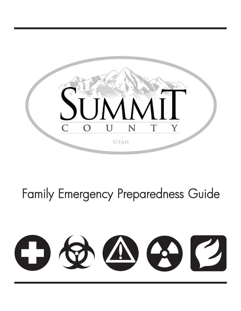

Family Emergency Preparedness Guide

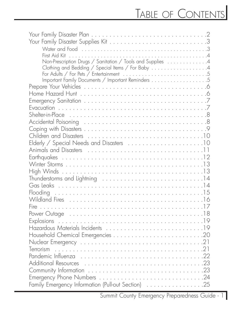# TABLE OF CONTENTS

| Non-Prescription Drugs / Sanitation / Tools and Supplies 4<br>Clothing and Bedding / Special Items / For Baby 4<br>Important Family Documents / Important Reminders 5<br>Flooding<br>Power Outage (and a series are a series and a series are series and a series and a series of $8$<br>Family Emergency Information (Pull-out Section) 25 |  |
|---------------------------------------------------------------------------------------------------------------------------------------------------------------------------------------------------------------------------------------------------------------------------------------------------------------------------------------------|--|
|                                                                                                                                                                                                                                                                                                                                             |  |
|                                                                                                                                                                                                                                                                                                                                             |  |
|                                                                                                                                                                                                                                                                                                                                             |  |
|                                                                                                                                                                                                                                                                                                                                             |  |
|                                                                                                                                                                                                                                                                                                                                             |  |
|                                                                                                                                                                                                                                                                                                                                             |  |
|                                                                                                                                                                                                                                                                                                                                             |  |
|                                                                                                                                                                                                                                                                                                                                             |  |
|                                                                                                                                                                                                                                                                                                                                             |  |
|                                                                                                                                                                                                                                                                                                                                             |  |
|                                                                                                                                                                                                                                                                                                                                             |  |
|                                                                                                                                                                                                                                                                                                                                             |  |
|                                                                                                                                                                                                                                                                                                                                             |  |
|                                                                                                                                                                                                                                                                                                                                             |  |
|                                                                                                                                                                                                                                                                                                                                             |  |
|                                                                                                                                                                                                                                                                                                                                             |  |
|                                                                                                                                                                                                                                                                                                                                             |  |
|                                                                                                                                                                                                                                                                                                                                             |  |
|                                                                                                                                                                                                                                                                                                                                             |  |
|                                                                                                                                                                                                                                                                                                                                             |  |
|                                                                                                                                                                                                                                                                                                                                             |  |
|                                                                                                                                                                                                                                                                                                                                             |  |
|                                                                                                                                                                                                                                                                                                                                             |  |
|                                                                                                                                                                                                                                                                                                                                             |  |
|                                                                                                                                                                                                                                                                                                                                             |  |
|                                                                                                                                                                                                                                                                                                                                             |  |
|                                                                                                                                                                                                                                                                                                                                             |  |
|                                                                                                                                                                                                                                                                                                                                             |  |
|                                                                                                                                                                                                                                                                                                                                             |  |
|                                                                                                                                                                                                                                                                                                                                             |  |
|                                                                                                                                                                                                                                                                                                                                             |  |
|                                                                                                                                                                                                                                                                                                                                             |  |
|                                                                                                                                                                                                                                                                                                                                             |  |
|                                                                                                                                                                                                                                                                                                                                             |  |
|                                                                                                                                                                                                                                                                                                                                             |  |
|                                                                                                                                                                                                                                                                                                                                             |  |
|                                                                                                                                                                                                                                                                                                                                             |  |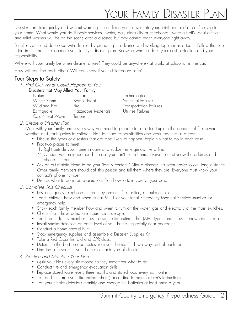## YOUR FAMILY DISASTER PLAN

Disaster can strike quickly and without warning. It can force you to evacuate your neighborhood or confine you to your home. What would you do if basic services - water, gas, electricity or telephones - were cut off? Local officials and relief workers will be on the scene after a disaster, but they cannot reach everyone right away.

Families can - and do - cope with disaster by preparing in advance and working together as a team. Follow the steps listed in this brochure to create your family's disaster plan. Knowing what to do is your best protection and your responsibility.

Where will your family be when disaster strikes? They could be anywhere - at work, at school or in the car.

How will you find each other? Will you know if your children are safe?

#### Four Steps to Safety

1. Find Out What Could Happen to You

#### Disasters that May Affect Your Family

| Natural        | Human               |
|----------------|---------------------|
| Winter Storm   | Bomb Threat         |
| Wildland Fire  | Fire                |
| Earthquake     | Hazardous Materials |
| Cold/Heat Wave | Terrorism           |

Technological Structural Failures Transportation Failures Utilities Failures

#### 2. Create a Disaster Plan

Meet with your family and discuss why you need to prepare for disaster. Explain the dangers of fire, severe weather and earthquakes to children. Plan to share responsibilities and work together as a team.

- Discuss the types of disasters that are most likely to happen. Explain what to do in each case.
- Pick two places to meet:
	- 1. Right outside your home in case of a sudden emergency, like a fire.
	- 2. Outside your neighborhood in case you can't return home. Everyone must know the address and phone number.
- Ask an out-of-state friend to be your "family contact." After a disaster, it's often easier to call long distance. Other family members should call this person and tell them where they are. Everyone must know your contact's phone number.
- Discuss what to do in an evacuation. Plan how to take care of your pets.

#### 3. Complete This Checklist

- Post emergency telephone numbers by phones (fire, police, ambulance, etc.).
- Teach children how and when to call 9-1-1 or your local Emergency Medical Services number for emergency help.
- Show each family member how and when to turn off the water, gas and electricity at the main switches.
- Check if you have adequate insurance coverage.
- Teach each family member how to use the fire extinguisher (ABC type), and show them where it's kept.
- Install smoke detectors on each level of your home, especially near bedrooms.
- Conduct a home hazard hunt.
- Stock emergency supplies and assemble a Disaster Supplies Kit.
- Take a Red Cross first aid and CPR class.
- Determine the best escape routes from your home. Find two ways out of each room.
- Find the safe spots in your home for each type of disaster.

#### 4. Practice and Maintain Your Plan

- Quiz your kids every six months so they remember what to do.
- Conduct fire and emergency evacuation drills.
- Replace stored water every three months and stored food every six months.
- Test and recharge your fire extinguisher(s) according to manufacturer's instructions.
- Test your smoke detectors monthly and change the batteries at least once a year.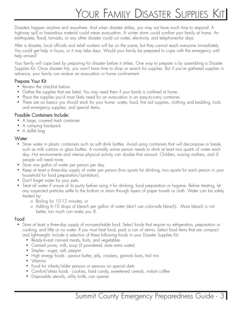# YOUR FAMILY DISASTER SUPPLIES KIT

Disasters happen anytime and anywhere. And when disaster strikes, you may not have much time to respond. A highway spill or hazardous material could mean evacuation. A winter storm could confine your family at home. An earthquake, flood, tornado, or any other disaster could cut water, electricity, and telephones-for days.

After a disaster, local officials and relief workers will be on the scene, but they cannot reach everyone immediately. You could get help in hours, or it may take days. Would your family be prepared to cope with the emergency until help arrives?

Your family will cope best by preparing for disaster before it strikes. One way to prepare is by assembling a Disaster Supplies Kit. Once disaster hits, you won't have time to shop or search for supplies. But if you've gathered supplies in advance, your family can endure an evacuation or home confinement.

#### Prepare Your Kit

- Review the checklist below.
- Gather the supplies that are listed. You may need them if your family is confined at home.
- Place the supplies you'd most likely need for an evacuation in an easy-to-carry container.
- There are six basics you should stock for your home: water, food, first aid supplies, clothing and bedding, tools and emergency supplies, and special items.

#### Possible Containers Include:

- A large, covered trash container
- A camping backpack
- A duffel bag

#### **Water**

- Store water in plastic containers such as soft drink bottles. Avoid using containers that will decompose or break, such as milk cartons or glass bottles. A normally active person needs to drink at least two quarts of water each day. Hot environments and intense physical activity can double that amount. Children, nursing mothers, and ill people will need more.
- Store one gallon of water per person per day.
- Keep at least a three-day supply of water per person (two quarts for drinking, two quarts for each person in your household for food preparation/sanitation).
- Don't forget water for your pets.
- Treat all water if unsure of its purity before using it for drinking, food preparation or hygiene. Before treating, let any suspected particles settle to the bottom or strain through layers of paper towels or cloth. Water can be safely treated by:
	- o Boiling for 10-12 minutes; or
	- o Adding 6-10 drops of bleach per gallon of water (don't use color-safe bleach). More bleach is not better, too much can make you ill.

#### Food

- Store at least a three-day supply of non-perishable food. Select foods that require no refrigeration, preparation or cooking, and little or no water. If you must heat food, pack a can of sterno. Select food items that are compact and lightweight. Include a selection of these following foods in your Disaster Supplies Kit:
	- Ready-to-eat canned meats, fruits, and vegetables
	- Canned juices, milk, soup (if powdered, store extra water)
	- Staples sugar, salt, pepper
	- High energy foods peanut butter, jelly, crackers, granola bars, trail mix
	- Vitamins
	- Food for infants/elder persons or persons on special diets
	- Comfort/stress foods cookies, hard candy, sweetened cereals, instant coffee
	- Disposable utensils, utility knife, can opener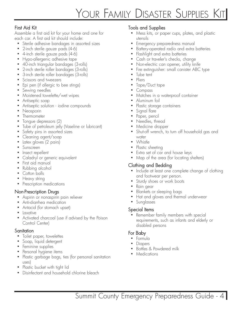# YOUR FAMILY DISASTER SUPPLIES KIT

#### First Aid Kit

Assemble a first aid kit for your home and one for each car. A first aid kit should include:

- Sterile adhesive bandages in assorted sizes
- 2-inch sterile gauze pads (4-6)
- 4-inch sterile gauze pads (4-6)
- Hypo-allergenic adhesive tape
- 40-inch triangular bandages (3-rolls)
- 2-inch sterile roller bandages (3-rolls)
- 3-inch sterile roller bandages (3-rolls)
- Scissors and tweezers
- Epi pen (if allergic to bee stings)
- Sewing needles
- Moistened towelette/wet wipes
- Antiseptic soap
- Antiseptic solution iodine compounds
- Neosporin
- Thermometer
- Tonque depressors (2)
- Tube of petroleum jelly (Vaseline or lubricant)
- Safety pins in assorted sizes
- Cleaning agent/soap
- Latex gloves (2 pairs)
- Sunscreen
- Insect repellent
- Caladryl or generic equivalent
- First aid manual
- Rubbing alcohol
- Cotton balls
- Heavy string
- Prescription medications

#### Non-Prescription Drugs

- Aspirin or nonaspirin pain reliever
- Anti-diarrhea medication
- Antacid (for stomach upset)
- Laxative
- Activated charcoal (use if advised by the Poison Control Center)

#### **Sanitation**

- Toilet paper, towelettes
- Soap, liquid detergent
- Feminine supplies
- Personal hygiene items
- Plastic garbage bags, ties (for personal sanitation uses)
- Plastic bucket with tight lid
- Disinfectant and household chlorine bleach

#### Tools and Supplies

- Mess kits, or paper cups, plates, and plastic utensils
- Emergency preparedness manual
- Battery-operated radio and extra batteries
- Flashlight and extra batteries
- Cash or traveler's checks, change
- Non-electric can opener, utility knife
- Fire extinguisher: small canister ABC type
- Tube tent
- Pliers
- Tape/Duct tape
- Compass
- Matches in a waterproof container
- Aluminum foil
- Plastic storage containers
- Signal flare
- Paper, pencil
- Needles, thread
- Medicine dropper
- Shut-off wrench, to turn off household gas and water
- Whistle
- Plastic sheeting
- Extra set of car and house keys
- Map of the area (for locating shelters)

#### Clothing and Bedding

- Include at least one complete change of clothing and footwear per person.
- Sturdy shoes or work boots
- Rain gear
- Blankets or sleeping bags
- Hat and gloves and thermal underwear
- **Sunglasses**

#### Special Items

Remember family members with special requirements, such as infants and elderly or disabled persons

#### For Baby

- Formula
- Diapers
- Bottles & Powdered milk
- Medications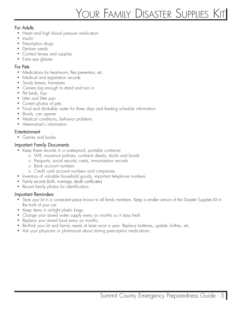#### For Adults

- Heart and high blood pressure medication
- Insulin
- Prescription drugs
- Denture needs
- Contact lenses and supplies
- Extra eye glasses

#### For Pets

- Medications for heartworm, flea prevention, etc.
- Medical and registration records
- Sturdy leases, harnesses
- Carriers big enough to stand and turn in
- Pet beds, toys
- Litter and litter pan
- Current photos of pets
- Food and drinkable water for three days and feeding schedule information
- Bowls, can opener
- Medical conditions, behavior problems
- Veterinarian's information

#### **Entertainment**

• Games and books

#### Important Family Documents

- Keep these records in a waterproof, portable container:
	- o Will, insurance policies, contracts deeds, stocks and bonds
	- o Passports, social security cards, immunization records
	- o Bank account numbers
	- o Credit card account numbers and companies
- Inventory of valuable household goods, important telephone numbers
- Family records (birth, marriage, death certificates)
- Recent family photos for identification

#### Important Reminders

- Store your kit in a convenient place known to all family members. Keep a smaller version of the Disaster Supplies Kit in the trunk of your car.
- Keep items in airtight plastic bags.
- Change your stored water supply every six months so it stays fresh.
- Replace your stored food every six months.
- Re-think your kit and family needs at least once a year. Replace batteries, update clothes, etc.
- Ask your physician or pharmacist about storing prescription medications.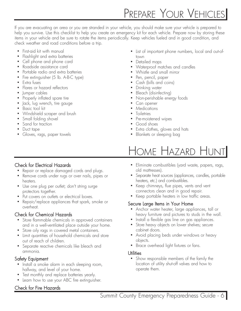# PREPARE YOUR VEHICLES

If you are evacuating an area or you are stranded in your vehicle, you should make sure your vehicle is prepared to help you survive. Use this checklist to help you create an emergency kit for each vehicle. Prepare now by storing these items in your vehicle and be sure to rotate the items periodically. Keep vehicles fueled and in good condition, and check weather and road conditions before a trip.

- First-aid kit with manual
- Flashlight and extra batteries
- Cell phone and phone card
- Roadside assistance card
- Portable radio and extra batteries
- Fire extinguisher (5 lb. A-B-C type)
- Extra fuses
- Flares or hazard reflectors
- Jumper cables
- Properly inflated spare tire
- Jack, lug wrench, tire gauge
- Basic tool kit
- Windshield scraper and brush
- Small folding shovel
- Sand for traction
- Duct tape
- Gloves, rags, paper towels
- List of important phone numbers, local and out-oftown
- Detailed maps
- Waterproof matches and candles
- Whistle and small mirror
- Pen, pencil, paper
- Cash (bills and coins)
- Drinking water
- Bleach (disinfecting)
- Non-perishable energy foods
- Can opener
- Medications
- Toiletries
- Pre-moistened wipes
- Good shoes
- Extra clothes, gloves and hats
- Blankets or sleeping bag

#### Check for Electrical Hazards

- Repair or replace damaged cords and plugs.
- Remove cords under rugs or over nails, pipes or heaters.
- Use one plug per outlet; don't string surge protectors together.
- Put covers on outlets or electrical boxes.
- Repair/replace appliances that spark, smoke or overheat.

#### Check for Chemical Hazards

- Store flammable chemicals in approved containers and in a well-ventilated place outside your home.
- Store oily rags in covered metal containers.
- Limit quantities of household chemicals and store out of reach of children.
- Separate reactive chemicals like bleach and ammonia.

#### Safety Equipment

- Install a smoke alarm in each sleeping room, hallway, and level of your home.
- Test monthly and replace batteries yearly.
- Learn how to use your ABC fire extinguisher.

#### Check for Fire Hazards

### HOME HAZARD HUNT • Eliminate combustibles (yard waste, papers, rags,

- old mattresses). • Separate heat sources (appliances, candles, portable
- heaters, etc.) and combustibles.
- Keep chimneys, flue pipes, vents and vent connectors clean and in good repair.
- Keep portable heaters in low traffic areas.

#### Secure Large Items in Your Home

- Anchor water heater, large appliances, tall or heavy furniture and pictures to studs in the wall.
- Install a flexible gas line on gas appliances.
- Store heavy objects on lower shelves; secure cabinet doors.
- Avoid placing beds under windows or heavy objects.
- Brace overhead light fixtures or fans.

#### **Utilities**

• Show responsible members of the family the location of utility shut-off valves and how to operate them.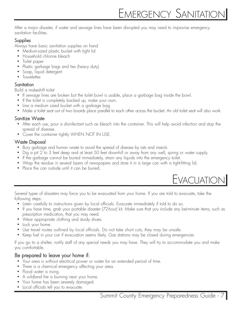After a major disaster, if water and sewage lines have been disrupted you may need to improvise emergency sanitation facilities.

#### **Supplies**

Always have basic sanitation supplies on hand

- Medium-sized plastic bucket with tight lid
- Household chlorine bleach
- Toilet paper
- Plastic garbage bags and ties (heavy duty)
- Soap, liquid detergent
- Towelettes

#### **Sanitation**

Build a makeshift toilet

- If sewage lines are broken but the toilet bowl is usable, place a garbage bag inside the bowl.
- If the toilet is completely backed up, make your own.
- Line a medium sized bucket with a garbage bag.
- Make a toilet seat out of two boards place parallel to each other across the bucket. An old toilet seat will also work.

#### Sanitize Waste

- After each use, pour a disinfectant such as bleach into the container. This will help avoid infection and stop the spread of disease.
- Cover the container tightly WHEN NOT IN USE.

#### Waste Disposal

- Bury garbage and human waste to avoid the spread of disease by rats and insects.
- Dig a pit 2 to 3 feet deep and at least 50 feet downhill or away from any well, spring or water supply.
- If the garbage cannot be buried immediately, strain any liquids into the emergency toilet.
- Wrap the residue in several layers of newspapers and store it in a large can with a tight-fitting lid.
- Place the can outside until it can be buried.



Several types of disasters may force you to be evacuated from your home. If you are told to evacuate, take the following steps:

- Listen carefully to instructions given by local officials. Evacuate immediately if told to do so.
- If you have time, grab your portable disaster (72-hour) kit. Make sure that you include any last-minute items, such as prescription medication, that you may need.
- Wear appropriate clothing and sturdy shoes.
- Lock your home.
- Use travel routes outlined by local officials. Do not take short cuts; they may be unsafe.
- Keep fuel in your car if evacuation seems likely. Gas stations may be closed during emergencies

If you go to a shelter, notify staff of any special needs you may have. They will try to accommodate you and make you comfortable.

#### Be prepared to leave your home if:

- Your area is without electrical power or water for an extended period of time.
- There is a chemical emergency affecting your area.
- Flood water is rising.
- A wildland fire is burning near your home.
- Your home has been severely damaged.
- Local officials tell you to evacuate.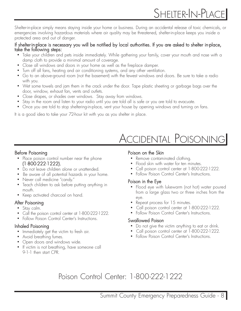### SHELTER-IN-PLACE

Shelter-in-place simply means staying inside your home or business. During an accidental release of toxic chemicals, or emergencies involving hazardous materials where air quality may be threatened, shelter-in-place keeps you inside a protected area and out of danger.

#### If shelter-in-place is necessary you will be notified by local authorities. If you are asked to shelter in-place, take the following steps:

- Take your children and pets inside immediately. While gathering your family, cover your mouth and nose with a damp cloth to provide a minimal amount of coverage.
- Close all windows and doors in your home as well as the fireplace damper.
- Turn off all fans, heating and air conditioning systems, and any other ventilation.
- Go to an above-ground room (not the basement) with the fewest windows and doors. Be sure to take a radio with you.
- Wet some towels and jam them in the crack under the door. Tape plastic sheeting or garbage bags over the door, window, exhaust fan, vents and outlets.
- Close drapes, or shades over windows. Stay away from windows.
- Stay in the room and listen to your radio until you are told all is safe or you are told to evacuate.
- Once you are told to stop sheltering-in-place, vent your house by opening windows and turning on fans.

It is a good idea to take your 72-hour kit with you as you shelter in place.

### ACCIDENTAL POISONING

#### Before Poisoning

- Place poison control number near the phone (1-800-222-1222).
- Do not leave children alone or unattended.
- Be aware of all potential hazards in your home.
- Never call medicine "candy."
- Teach children to ask before putting anything in mouth.
- Keep activated charcoal on hand.

#### After Poisoning

- Stay calm.
- Call the poison control center at 1-800-222-1222.
- Follow Poison Control Center's Instructions.

#### Inhaled Poisoning

- Immediately get the victim to fresh air.
- Avoid breathing fumes.
- Open doors and windows wide.
- If victim is not breathing, have someone call 9-1-1 then start CPR.

#### Poison on the Skin

- Remove contaminated clothing.
- Flood skin with water for ten minutes.
- Call poison control center at 1-800-222-1222.
- Follow Poison Control Center's Instructions.

#### Poison in the Eye

- Flood eye with lukewarm (not hot) water poured from a large glass two or three inches from the eye.
- Repeat process for 15 minutes.
- Call poison control center at 1-800-222-1222.
- Follow Poison Control Center's Instructions.

#### Swallowed Poison

- Do not give the victim anything to eat or drink.
- Call poison control center at 1-800-222-1222.
- Follow Poison Control Center's Instructions.

### Poison Control Center: 1-800-222-1222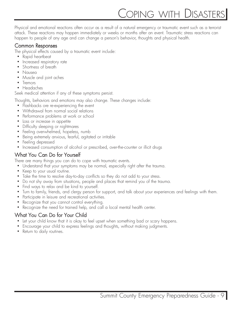### COPING WITH DISASTERS

Physical and emotional reactions often occur as a result of a natural emergency or traumatic event such as a terrorist attack. These reactions may happen immediately or weeks or months after an event. Traumatic stress reactions can happen to people of any age and can change a person's behavior, thoughts and physical health.

#### Common Responses

The physical effects caused by a traumatic event include:

- Rapid heartbeat
- Increased respiratory rate
- Shortness of breath
- Nausea
- Muscle and joint aches
- Tremors
- Headaches

Seek medical attention if any of these symptoms persist.

Thoughts, behaviors and emotions may also change. These changes include:

- Flashbacks ore re-experiencing the event
- Withdrawal from normal social relations
- Performance problems at work or school
- Loss or increase in appetite
- Difficulty sleeping or nightmares
- Feeling overwhelmed, hopeless, numb
- Being extremely anxious, fearful, agitated or irritable
- Feeling depressed
- Increased consumption of alcohol or prescribed, over-the-counter or illicit drugs

#### What You Can Do for Yourself

There are many things you can do to cope with traumatic events.

- Understand that your symptoms may be normal, especially right after the trauma.
- Keep to your usual routine.
- Take the time to resolve day-to-day conflicts so they do not add to your stress.
- Do not shy away from situations, people and places that remind you of the trauma.
- Find ways to relax and be kind to yourself.
- Turn to family, friends, and clergy person for support, and talk about your experiences and feelings with them.
- Participate in leisure and recreational activities.
- Recognize that you cannot control everything.
- Recognize the need for trained help, and call a local mental health center.

### What You Can Do for Your Child

- Let your child know that it is okay to feel upset when something bad or scary happens.
- Encourage your child to express feelings and thoughts, without making judgments.
- Return to daily routines.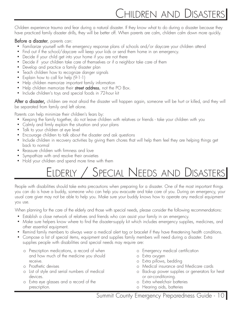# CHILDREN AND DISASTERS

Children experience trauma and fear during a natural disaster. If they know what to do during a disaster because they have practiced family disaster drills, they will be better off. When parents are calm, children calm down more quickly.

#### Before a disaster, parents can:

- Familiarize yourself with the emergency response plans of schools and/or daycare your children attend
- Find out if the school/daycare will keep your kids or send them home in an emergency.
- Decide if your child get into your home if you are not there
- Decide if your children take care of themselves or if a neighbor take care of them
- Develop and practice a family disaster plan
- Teach children how to recognize danger signals
- Explain how to call for help (9-1-1)
- Help children memorize important family information
- Help children memorize their **street address**, not the PO Box.
- Include children's toys and special foods in 72-hour kit

After a disaster, children are most afraid the disaster will happen again, someone will be hurt or killed, and they will be separated from family and left alone.

Parents can help minimize their children's fears by:

- Keeping the family together, do not leave children with relatives or friends take your children with you
- Calmly and firmly explain the situation and your plans
- Talk to your children at eye level
- Encourage children to talk about the disaster and ask questions
- Include children in recovery activities by giving them chores that will help them feel they are helping things get back to normal
- Reassure children with firmness and love
- Sympathize with and resolve their anxieties
- Hold your children and spend more time with them

# ELDERLY / SPECIAL NEEDS AND DISASTERS

People with disabilities should take extra precautions when preparing for a disaster. One of the most important things you can do is have a buddy, someone who can help you evacuate and take care of you. During an emergency, your usual care giver may not be able to help you. Make sure your buddy knows how to operate any medical equipment you use.

When planning for the care of the elderly and those with special needs, please consider the following recommendations:

- Establish a close network of relatives and friends who can assist your family in an emergency.
- Make sure helpers know where to find the disaster-supply kit which includes emergency supplies, medicines, and other essential equipment.
- Remind family members to always wear a medical alert tag or bracelet if they have threatening health conditions.
- Compose a list of special items, equipment and supplies family members will need during a disaster. Extra supplies people with disabilities and special needs may require are:
	- o Prescription medications, a record of when and how much of the medicine you should receive.
	- o Prosthetic devises
	- o List of style and serial numbers of medical devices.
	- o Extra eye glasses and a record of the prescription.
- o Emergency medical certification
- o Extra oxygen
- o Extra pillows, bedding
- o Medical insurance and Medicare cards
- o Back-up power supplies or generators for heat or air-conditioning.
- o Extra wheelchair batteries
- o Hearing aids, batteries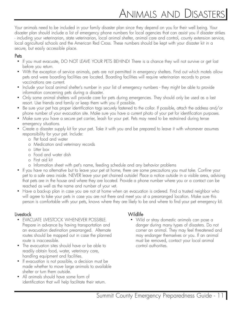## ANIMALS AND DISASTERS

Your animals need to be included in your family disaster plan since they depend on you for their well being. Your disaster plan should include a list of emergency phone numbers for local agencies that can assist you if disaster strikes - including your veterinarian, state veterinarian, local animal shelter, animal care and control, county extension service, local agricultural schools and the American Red Cross. These numbers should be kept with your disaster kit in a secure, but easily accessible place.

#### Pets

- If you must evacuate, DO NOT LEAVE YOUR PETS BEHIND! There is a chance they will not survive or get lost before you return.
- With the exception of service animals, pets are not permitted in emergency shelters. Find out which motels allow pets and were boarding facilities are located. Boarding facilities will require veterinarian records to prove vaccinations are current.
- Include your local animal shelter's number in your list of emergency numbers they might be able to provide information concerning pets during a disaster.
- Only some animal shelters will provide care for pets during emergencies. They should only be used as a last resort. Use friends and family or keep them with you if possible.
- Be sure your pet has proper identification tags securely fastened to the collar. If possible, attach the address and/or phone number of your evacuation site. Make sure you have a current photo of your pet for identification purposes.
- Make sure you have a secure pet carrier, leash for your pet. Pets may need to be restrained during tense emergency situations.
- Create a disaster supply kit for your pet. Take it with you and be prepared to leave it with whomever assumes responsibility for your pet. Include:
	- o Pet food and water
	- o Medication and veterinary records
	- o Litter box
	- o Food and water dish
	- o First aid kit
	- o Information sheet with pet's name, feeding schedule and any behavior problems
- If you have no alternative but to leave your pet at home, there are some precautions you must take. Confine your pet to a safe area inside. NEVER leave your pet chained outside! Place a notice outside in a visible area, advising that pets are in the house and where they are located. Provide a phone number where you or a contact can be reached as well as the name and number of your vet.
- Have a back-up plan in case you are not at home when an evacuation is ordered. Find a trusted neighbor who will agree to take your pets in case you are not there and meet you at a prearranged location. Make sure this person is comfortable with your pets, knows where they are likely to be and where to find your pet emergency kit.

#### Livestock

- EVACUATE LIVESTOCK WHENEVER POSSIBLE. Prepare in advance by having transportation and an evacuation destination prearranged. Alternate routes should be mapped out in case the planned route is inaccessible.
- The evacuation sites should have or be able to readily obtain food, water, veterinary care, handling equipment and facilities.
- If evacuation is not possible, a decision must be made whether to move large animals to available shelter or turn them outside.
- All animals should have some form of identification that will help facilitate their return.

#### Wildlife

• Wild or stray domestic animals can pose a danger during many types of disasters. Do not corner an animal. They may feel threatened and may endanger themselves or you. If an animal must be removed, contact your local animal control authorities.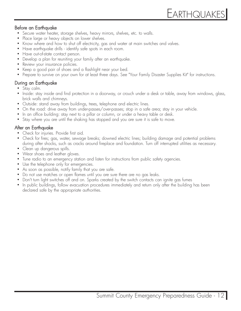#### Before an Earthquake

- Secure water heater, storage shelves, heavy mirrors, shelves, etc. to walls.
- Place large or heavy objects on lower shelves.
- Know where and how to shut off electricity, gas and water at main switches and valves.
- Have earthquake drills identify safe spots in each room.
- Have out-of-state contact person.
- Develop a plan for reuniting your family after an earthquake.
- Review your insurance policies.
- Keep a good pair of shoes and a flashlight near your bed.
- Prepare to survive on your own for at least three days. See "Your Family Disaster Supplies Kit" for instructions.

#### During an Earthquake

- Stay calm.
- Inside: stay inside and find protection in a doorway, or crouch under a desk or table, away from windows, glass, brick walls and chimneys.
- Outside: stand away from buildings, trees, telephone and electric lines.
- On the road: drive away from under-passes/over-passes; stop in a safe area; stay in your vehicle.
- In an office building: stay next to a pillar or column, or under a heavy table or desk.
- Stay where you are until the shaking has stopped and you are sure it is safe to move.

#### After an Earthquake

- Check for injuries. Provide first aid.
- Check for fires; gas, water, sewage breaks; downed electric lines; building damage and potential problems during after shocks, such as cracks around fireplace and foundation. Turn off interrupted utilities as necessary.
- Clean up dangerous spills.
- Wear shoes and leather gloves.
- Tune radio to an emergency station and listen for instructions from public safety agencies.
- Use the telephone only for emergencies.
- As soon as possible, notify family that you are safe.
- Do not use matches or open flames until you are sure there are no gas leaks.
- Don't turn light switches off and on. Sparks created by the switch contacts can ignite gas fumes
- In public buildings, follow evacuation procedures immediately and return only after the building has been declared safe by the appropriate authorities.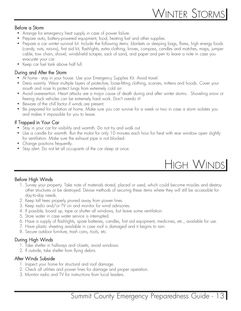#### Before a Storm

- Arrange for emergency heat supply in case of power failure.
- Prepare auto, battery-powered equipment, food, heating fuel and other supplies.
- Prepare a car winter survival kit. Include the following items: blankets or sleeping bags, flares, high energy foods (candy, nuts, raisins), first aid kit, flashlights, extra clothing, knives, compass, candles and matches, maps, jumper cable, tow chain, shovel, windshield scraper, sack of sand, and paper and pen to leave a note in case you evacuate your car.
- Keep car fuel tank above half full.

#### During and After the Storm

- At home stay in your house. Use your Emergency Supplies Kit. Avoid travel.
- Dress warmly. Wear multiple layers of protective, loose-fitting clothing, scarves, mittens and hoods. Cover your mouth and nose to protect lungs from extremely cold air.
- Avoid overexertion. Heart attacks are a major cause of death during and after winter storms. Shoveling snow or freeing stuck vehicles can be extremely hard work. Don't overdo it!
- Beware of the chill factor if winds are present.
- Be prepared for isolation at home. Make sure you can survive for a week or two in case a storm isolates you and makes it impossible for you to leave.

#### If Trapped in Your Car

- Stay in your car for visibility and warmth. Do not try and walk out.
- Use a candle for warmth. Run the motor for only 10 minutes each hour for heat with rear window open slightly for ventilation. Make sure the exhaust pipe is not blocked.
- Change positions frequently.
- Stay alert. Do not let all occupants of the car sleep at once.

### HIGH WINDS

#### Before High Winds

- 1. Survey your property. Take note of materials stored, placed or used, which could become missiles and destroy other structures or be destroyed. Devise methods of securing these items where they will still be accessible for day-to-day needs.
- 2. Keep tall trees properly pruned away from power lines.
- 3. Keep radio and/or TV on and monitor for wind advisories.
- 4. If possible, board up, tape or shutter all windows, but leave some ventilation.
- 5. Store water in case water service is interrupted.
- 6. Have a supply of flashlights, spare batteries, candles, first aid equipment, medicines, etc., available for use.
- 7. Have plastic sheeting available in case roof is damaged and it begins to rain.
- 8. Secure outdoor furniture, trash cans, tools, etc.

#### During High Winds

- 1. Take shelter in hallways and closets; avoid windows.
- 2. If outside, take shelter from flying debris.

#### After Winds Subside

- 1. Inspect your home for structural and roof damage.
- 2. Check all utilities and power lines for damage and proper operation.
- 3. Monitor radio and TV for instructions from local leaders.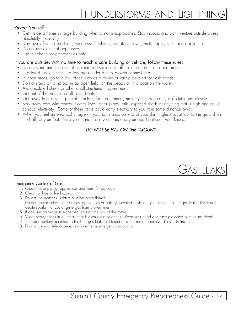### THUNDERSTORMS AND LIGHTNING

#### Protect Yourself

- Get inside a home or large building when a storm approaches. Stay indoors and don't venture outside unless absolutely necessary.
- Stay away from open doors, windows, fireplaces, radiators, stoves, metal pipes, sinks and appliances.
- Do not use electrical appliances.
- Use telephone for emergencies only.

#### If you are outside, with no time to reach a safe building or vehicle, follow these rules:

- Do not stand under a natural lightning rod such as a tall, isolated tree in an open area.
- In a forest, seek shelter in a low area under a thick growth of small trees.
- In open areas, go to a low place such as a ravine or valley. Be alert for flash floods.
- Do not stand on a hilltop, in an open field, on the beach or in a boat on the water.
- Avoid isolated sheds or other small structures in open areas.
- Get out of the water and off small boats.
- Get away from anything metal tractors, farm equipment, motorcycles, golf carts, golf clubs and bicycles.
- Stay away from wire fences, clothes lines, metal pipes, rails, exposed sheds or anything that is high and could conduct electricity. Some of these items could carry electricity to you from some distance away.
- When you feel an electrical charge if you hair stands on end or your skin tingles squat low to the ground on the balls of your feet. Place your hands over your ears and your head between your knees.

#### DO NOT LIE FLAT ON THE GROUND.

#### Emergency Control of Gas

- 1. Check house piping, appliances and vents for damage.
- 2. Check for fires or fire hazards.
- 3. Do not use matches, lighters or other open flames.
- 4. Do not operate electrical switches, appliances or battery-operated devices if you suspect natural gas leaks. This could create sparks that could ignite gas from broken lines.
- 5. If gas line breakage is suspected, shut off the gas at the meter.
- 6. Wear heavy shoes in all areas near broken glass or debris. Keep your head and face protected from falling debris.
- 7. Turn on a battery-operated radio if no gas leaks are found or a car radio to receive disaster instructions.
- 8. Do not use your telephone except in extreme emergency situations.

GAS LEAKS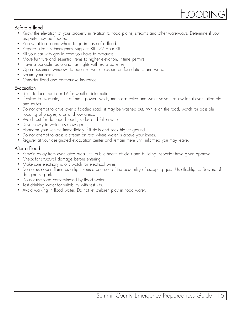#### Before a flood

• Know the elevation of your property in relation to flood plains, streams and other waterways. Determine if your property may be flooded.

FLOODING

- Plan what to do and where to go in case of a flood.
- Prepare a Family Emergency Supplies Kit 72 Hour Kit
- Fill your car with gas in case you have to evacuate.
- Move furniture and essential items to higher elevation, if time permits.
- Have a portable radio and flashlights with extra batteries.
- Open basement windows to equalize water pressure on foundations and walls.
- Secure your home.
- Consider flood and earthquake insurance.

#### **Evacuation**

- Listen to local radio or TV for weather information.
- If asked to evacuate, shut off main power switch, main gas valve and water valve. Follow local evacuation plan and routes.
- Do not attempt to drive over a flooded road; it may be washed out. While on the road, watch for possible flooding of bridges, dips and low areas.
- Watch out for damaged roads, slides and fallen wires.
- Drive slowly in water; use low gear.
- Abandon your vehicle immediately if it stalls and seek higher ground.
- Do not attempt to cross a stream on foot where water is above your knees.
- Register at your designated evacuation center and remain there until informed you may leave.

#### After a Flood

- Remain away from evacuated area until public health officials and building inspector have given approval.
- Check for structural damage before entering.
- Make sure electricity is off; watch for electrical wires.
- Do not use open flame as a light source because of the possibility of escaping gas. Use flashlights. Beware of dangerous sparks
- Do not use food contaminated by flood water.
- Test drinking water for suitability with test kits.
- Avoid walking in flood water. Do not let children play in flood water.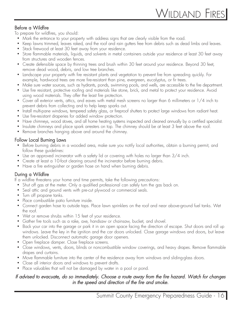#### Before a Wildfire

To prepare for wildfires, you should:

- Mark the entrance to your property with address signs that are clearly visible from the road.
- Keep lawns trimmed, leaves raked, and the roof and rain gutters free from debris such as dead limbs and leaves.

WILDLAND FIRES

- Stack firewood at least 30 feet away from your residence.
- Store flammable materials, liquids, and solvents in metal containers outside your residence at least 30 feet away from structures and wooden fences.
- Create defensible space by thinning trees and brush within 30 feet around your residence. Beyond 30 feet, remove dead wood, debris, and low tree branches.
- Landscape your property with fire resistant plants and vegetation to prevent fire from spreading quickly. For example, hardwood trees are more fire-resistant than pine, evergreen, eucalyptus, or fir trees.
- Make sure water sources, such as hydrants, ponds, swimming pools, and wells, are accessible to the fire department.
- Use fire resistant, protective roofing and materials like stone, brick, and metal to protect your residence. Avoid using wood materials. They offer the least fire protection.
- Cover all exterior vents, attics, and eaves with metal mesh screens no larger than 6 millimeters or 1/4 inch to prevent debris from collecting and to help keep sparks out.
- Install multi-pane windows, tempered safety glass, or fireproof shutters to protect large windows from radiant heat.
- Use fire-resistant draperies for added window protection.
- Have chimneys, wood stoves, and all home heating systems inspected and cleaned annually by a certified specialist.
- Insulate chimneys and place spark arresters on top. The chimney should be at least 3 feet above the roof.
- Remove branches hanging above and around the chimney.

#### Follow Local Burning Laws

- Before burning debris in a wooded area, make sure you notify local authorities, obtain a burning permit, and follow these guidelines:
- Use an approved incinerator with a safety lid or covering with holes no larger than 3/4 inch.
- Create at least a 10-foot clearing around the incinerator before burning debris.
- Have a fire extinguisher or garden hose on hand when burning debris.

#### During a Wildfire

If a wildfire threatens your home and time permits, take the following precautions:

- Shut off gas at the meter. Only a qualified professional can safely turn the gas back on.
- Seal attic and ground vents with pre-cut plywood or commercial seals.
- Turn off propane tanks.
- Place combustible patio furniture inside.
- Connect garden hose to outside taps. Place lawn sprinklers on the roof and near above-ground fuel tanks. Wet the roof.
- Wet or remove shrubs within 15 feet of your residence.
- Gather fire tools such as a rake, axe, handsaw or chainsaw, bucket, and shovel.
- Back your car into the garage or park it in an open space facing the direction of escape. Shut doors and roll up windows. Leave the key in the ignition and the car doors unlocked. Close garage windows and doors, but leave them unlocked. Disconnect automatic garage door openers.
- Open fireplace damper. Close fireplace screens.
- Close windows, vents, doors, blinds or noncombustible window coverings, and heavy drapes. Remove flammable drapes and curtains.
- Move flammable furniture into the center of the residence away from windows and sliding-glass doors.
- Close all interior doors and windows to prevent drafts.
- Place valuables that will not be damaged by water in a pool or pond.

#### If advised to evacuate, do so immediately. Choose a route away from the fire hazard. Watch for changes in the speed and direction of the fire and smoke.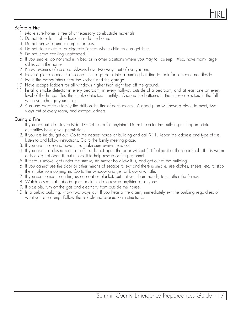#### Before a Fire

- 1. Make sure home is free of unnecessary combustible materials.
- 2. Do not store flammable liquids inside the home.
- 3. Do not run wires under carpets or rugs.
- 4. Do not store matches or cigarette lighters where children can get them.
- 5. Do not leave cooking unattended.
- 6. If you smoke, do not smoke in bed or in other positions where you may fall asleep. Also, have many large ashtrays in the home.

FIRE

- 7. Know avenues of escape. Always have two ways out of every room.
- 8. Have a place to meet so no one tries to go back into a burning building to look for someone needlessly.
- 9. Have fire extinguishers near the kitchen and the garage.
- 10. Have escape ladders for all windows higher than eight feet off the ground.
- 11. Install a smoke detector in every bedroom, in every hallway outside of a bedroom, and at least one on every level of the house. Test the smoke detectors monthly. Change the batteries in the smoke detectors in the fall when you change your clocks.
- 12. Plan and practice a family fire drill on the first of each month. A good plan will have a place to meet, two ways out of every room, and escape ladders.

#### During a Fire

- 1. If you are outside, stay outside. Do not return for anything. Do not re-enter the building until appropriate authorities have given permission.
- 2. If you are inside, get out. Go to the nearest house or building and call 911. Report the address and type of fire. Listen to and follow instructions. Go to the family meeting place.
- 3. If you are inside and have time, make sure everyone is out.
- 4. If you are in a closed room or office, do not open the door without first feeling it or the door knob. If it is warm or hot, do not open it, but unlock it to help rescue or fire personnel.
- 5. If there is smoke, get under the smoke, no matter how low it is, and get out of the building.
- 6. If you cannot use the door or other means of escape to exit and there is smoke, use clothes, sheets, etc. to stop the smoke from coming in. Go to the window and yell or blow a whistle.
- 7. If you see someone on fire, use a coat or blanket, but not your bare hands, to smother the flames.
- 8. Watch to see that nobody goes back inside to rescue anything or anyone.
- 9. If possible, turn off the gas and electricity from outside the house.
- 10. In a public building, know two ways out. If you hear a fire alarm, immediately exit the building regardless of what you are doing. Follow the established evacuation instructions.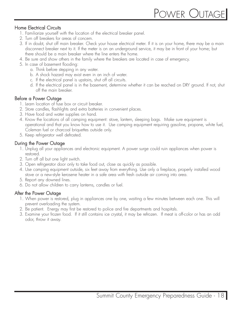#### Home Electrical Circuits

- 1. Familiarize yourself with the location of the electrical breaker panel.
- 2. Turn off breakers for areas of concern.
- 3. If in doubt, shut off main breaker. Check your house electrical meter. If it is on your home, there may be a main disconnect breaker next to it. If the meter is on an underground service, it may be in front of your home; but there should be a main breaker where the line enters the home.
- 4. Be sure and show others in the family where the breakers are located in case of emergency.
- 5. In case of basement flooding:
	- a. Think before stepping in any water.
	- b. A shock hazard may exist even in an inch of water.
	- c. If the electrical panel is upstairs, shut off all circuits.
	- d. If the electrical panel is in the basement, determine whether it can be reached on DRY ground. If not, shut off the main breaker.

#### Before a Power Outage

- 1. Learn location of fuse box or circuit breaker.
- 2. Store candles, flashlights and extra batteries in convenient places.
- 3. Have food and water supplies on hand.
- 4. Know the locations of all camping equipment: stove, lantern, sleeping bags. Make sure equipment is operational and that you know how to use it. Use camping equipment requiring gasoline, propane, white fuel, Coleman fuel or charcoal briquettes outside only.
- 5. Keep refrigerator well defrosted.

#### During the Power Outage

- 1. Unplug all your appliances and electronic equipment. A power surge could ruin appliances when power is restored.
- 2. Turn off all but one light switch.
- 3. Open refrigerator door only to take food out, close as quickly as possible.
- 4. Use camping equipment outside, six feet away from everything. Use only a fireplace, properly installed wood stove or a new-style kerosene heater in a safe area with fresh outside air coming into area.
- 5. Report any downed lines.
- 6. Do not allow children to carry lanterns, candles or fuel.

#### After the Power Outage

- 1. When power is restored, plug in appliances one by one, waiting a few minutes between each one. This will prevent overloading the system.
- 2. Be patient. Energy may first be restored to police and fire departments and hospitals.
- 3. Examine your frozen food. If it still contains ice crystal, it may be refrozen. If meat is off-color or has an odd odor, throw it away.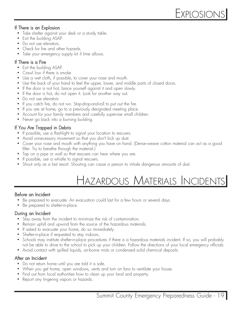#### If There is an Explosion

- Take shelter against your desk or a sturdy table.
- Exit the building ASAP.
- Do not use elevators.
- Check for fire and other hazards.
- Take your emergency supply kit if time allows.

#### If There is a Fire

- Exit the building ASAP.
- Crawl low if there is smoke
- Use a wet cloth, if possible, to cover your nose and mouth.
- Use the back of your hand to feel the upper, lower, and middle parts of closed doors.
- If the door is not hot, brace yourself against it and open slowly.
- If the door is hot, do not open it. Look for another way out.
- Do not use elevators
- If you catch fire, do not run. Stop-drop-and-roll to put out the fire.
- If you are at home, go to a previously designated meeting place.
- Account for your family members and carefully supervise small children.
- Never go back into a burning building.

#### If You Are Trapped in Debris

- If possible, use a flashlight to signal your location to rescuers.
- Avoid unnecessary movement so that you don't kick up dust.
- Cover your nose and mouth with anything you have on hand. (Dense-weave cotton material can act as a good filter. Try to breathe through the material.)
- Tap on a pipe or wall so that rescuers can hear where you are.
- If possible, use a whistle to signal rescuers.
- Shout only as a last resort. Shouting can cause a person to inhale dangerous amounts of dust.

### HAZARDOUS MATERIALS INCIDENTS

#### Before an Incident

- Be prepared to evacuate. An evacuation could last for a few hours or several days.
- Be prepared to shelter-in-place.

#### During an Incident

- Stay away from the incident to minimize the risk of contamination.
- Remain uphill and upwind from the source of the hazardous materials.
- If asked to evacuate your home, do so immediately.
- Shelter-in-place if requested to stay indoors.
- Schools may institute shelter-in-place procedures if there is a hazardous materials incident. If so, you will probably not be able to drive to the school to pick up your children. Follow the directions of your local emergency officials.
- Avoid contact with spilled liquids, air-borne mists or condensed solid chemical deposits.

#### After an Incident

- Do not return home until you are told it is safe.
- When you get home, open windows, vents and turn on fans to ventilate your house.
- Find out from local authorities how to clean up your land and property.
- Report any lingering vapors or hazards.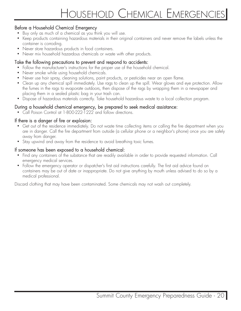#### Before a Household Chemical Emergency

- Buy only as much of a chemical as you think you will use.
- Keep products containing hazardous materials in their original containers and never remove the labels unless the container is corroding.
- Never store hazardous products in food containers.
- Never mix household hazardous chemicals or waste with other products.

#### Take the following precautions to prevent and respond to accidents:

- Follow the manufacturer's instructions for the proper use of the household chemical.
- Never smoke while using household chemicals.
- Never use hair spray, cleaning solutions, paint products, or pesticides near an open flame.
- Clean up any chemical spill immediately. Use rags to clean up the spill. Wear gloves and eye protection. Allow the fumes in the rags to evaporate outdoors, then dispose of the rags by wrapping them in a newspaper and placing them in a sealed plastic bag in your trash can.
- Dispose of hazardous materials correctly. Take household hazardous waste to a local collection program.

#### During a household chemical emergency, be prepared to seek medical assistance:

• Call Poison Control at 1-800-222-1222 and follow directions.

#### If there is a danger of fire or explosion:

- Get out of the residence immediately. Do not waste time collecting items or calling the fire department when you are in danger. Call the fire department from outside (a cellular phone or a neighbor's phone) once you are safely away from danger.
- Stay upwind and away from the residence to avoid breathing toxic fumes.

#### If someone has been exposed to a household chemical:

- Find any containers of the substance that are readily available in order to provide requested information. Call emergency medical services.
- Follow the emergency operator or dispatcher's first aid instructions carefully. The first aid advice found on containers may be out of date or inappropriate. Do not give anything by mouth unless advised to do so by a medical professional.

Discard clothing that may have been contaminated. Some chemicals may not wash out completely.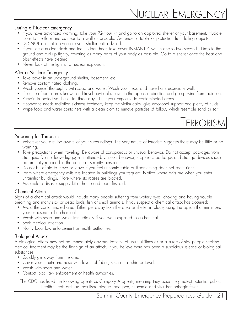### NUCLEAR EMERGENCY

#### During a Nuclear Emergency

- If you have advanced warning, take your 72-Hour kit and go to an approved shelter or your basement. Huddle close to the floor and as near to a wall as possible. Get under a table for protection from falling objects.
- DO NOT attempt to evacuate your shelter until advised.
- If you see a nuclear flash and feel sudden heat, take cover INSTANTLY, within one to two seconds. Drop to the ground and curl up tightly, covering as many parts of your body as possible. Go to a shelter once the heat and blast effects have cleared.
- Never look at the light of a nuclear explosion.

#### After a Nuclear Emergency

- Take cover in an underground shelter, basement, etc.
- Remove contaminated clothing.
- Wash yourself thoroughly with soap and water. Wash your head and nose hairs especially well.
- If source of radiation is known and travel advisable, travel in the opposite direction and go up wind from radiation.
- Remain in protective shelter for three days. Limit your exposure to contaminated areas.
- If someone needs radiation sickness treatment, keep the victim calm, give emotional support and plenty of fluids.
- Wipe food and water containers with a clean cloth to remove particles of fallout, which resemble sand or salt.

### TERRORISM

#### Preparing for Terrorism

- Wherever you are, be aware of your surroundings. The very nature of terrorism suggests there may be little or no warning.
- Take precautions when traveling. Be aware of conspicuous or unusual behavior. Do not accept packages from strangers. Do not leave luggage unattended. Unusual behavior, suspicious packages and strange devices should be promptly reported to the police or security personnel.
- Do not be afraid to move or leave if you feel uncomfortable or if something does not seem right.
- Learn where emergency exits are located in buildings you frequent. Notice where exits are when you enter unfamiliar buildings. Note where staircases are located.
- Assemble a disaster supply kit at home and learn first aid.

#### Chemical Attack

Signs of a chemical attack would include many people suffering from watery eyes, choking and having trouble breathing and many sick or dead birds, fish or small animals. If you suspect a chemical attack has occurred:

- Avoid the contaminated area. Either get away from the area or shelter in place, using the option that minimizes your exposure to the chemical.
- Wash with soap and water immediately if you were exposed to a chemical.
- Seek medical attention.
- Notify local law enforcement or health authorities.

#### Biological Attack

A biological attack may not be immediately obvious. Patterns of unusual illnesses or a surge of sick people seeking medical treatment may be the first sign of an attack. If you believe there has been a suspicious release of biological substances:

- Quickly get away from the area.
- Cover your mouth and nose with layers of fabric, such as a t-shirt or towel.
- Wash with soap and water.
- Contact local law enforcement or health authorities.

The CDC has listed the following agents as Category A agents, meaning they pose the greatest potential public health threat: anthrax, botulism, plague, smallpox, tularemia and viral hemorrhagic fevers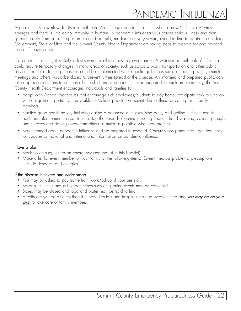## PANDEMIC INFLUENZA

A pandemic is a worldwide disease outbreak. An influenza pandemic occurs when a new "Influenza A" virus emerges and there is little or no immunity in humans. A pandemic influenza virus causes serious illness and then spreads easily from person-to-person. It could be mild, moderate or very severe, even leading to death. The Federal Government, State of Utah and the Summit County Health Department are taking steps to prepare for and respond to an influenza pandemic.

If a pandemic occurs, it is likely to last several months or possibly even longer. A widespread outbreak of influenza could require temporary changes in many areas of society, such as schools, work, transportation and other public services. Social distancing measures could be implemented where public gatherings such as sporting events, church meetings and others would be closed to prevent further spread of the disease. An informed and prepared public can take appropriate actions to decrease their risk during a pandemic. To be prepared for such an emergency, the Summit County Health Department encourages individuals and families to:

- Adopt work/school procedures that encourage sick employees/students to stay home. Anticipate how to function with a significant portion of the workforce/school population absent due to illness or caring for ill family members.
- Practice good health habits, including eating a balanced diet, exercising daily, and getting sufficient rest. In addition, take common-sense steps to stop the spread of germs including frequent hand washing, covering coughs and sneezes and staying away from others as much as possible when you are sick.
- Stay informed about pandemic influenza and be prepared to respond. Consult www.pandemicflu.gov frequently for updates on national and international information on pandemic influenza.

#### Have a plan:

- Stock up on supplies for an emergency (see the list in this booklet).
- Make a list for every member of your family of the following items: Current medical problems, prescriptions (include dosages) and allergies.

#### If the disease is severe and widespread:

- You may by asked to stay home from work/school if your are sick.
- Schools, churches and public gatherings such as sporting events may be cancelled.
- Stores may be closed and food and water may be hard to find.
- Healthcare will be different than it is now. Doctors and hospitals may be overwhelmed and you may be on your own to take care of family members.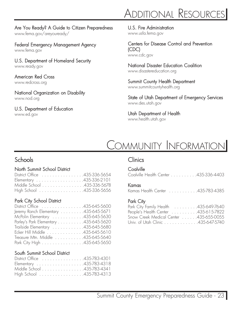### ADDITIONAL RESOURCES

#### Are You Ready? A Guide to Citizen Preparedness www.fema.gov/areyouready/

Federal Emergency Management Agency www.fema.gov

U.S. Department of Homeland Security www.ready.gov

American Red Cross www.redcross.org

National Organization on Disability www.nod.org

U.S. Department of Education

www.ed.gov

U.S. Fire Administration www.usfa.fema.gov

Centers for Disease Control and Prevention (CDC) www.cdc.gov

National Disaster Education Coalition www.disastereducation.org

Summit County Health Department www.summitcountyhealth.org

State of Utah Department of Emergency Services www.des.utah.gov

Utah Department of Health www.health.utah.gov

### COMMUNITY INFORMATION

### Schools

#### North Summit School District

| District Office 435-336-5654 |  |
|------------------------------|--|
| Elementary 435-336-2101      |  |
| Middle School 435-336-5678   |  |
| High School 435-336-5656     |  |

#### Park City School District

| District Office 435-645-5600          |  |
|---------------------------------------|--|
| Jeremy Ranch Elementary 435-645-5671  |  |
| McPolin Elementary 435-645-5630       |  |
| Parley's Park Elementary 435-645-5620 |  |
| Trailside Elementary 435-645-5680     |  |
| Ecker Hill Middle 435-645-5610        |  |
| Treasure Mtn. Middle 435-645-5640     |  |
| Park City High 435-645-5650           |  |

#### South Summit School District

|  |  |  |  |  |  |  |  | District Office 435-783-4301 |
|--|--|--|--|--|--|--|--|------------------------------|
|  |  |  |  |  |  |  |  | Elementary 435-783-4318      |
|  |  |  |  |  |  |  |  | Middle School 435-783-4341   |
|  |  |  |  |  |  |  |  | High School 435-783-4313     |

### Clinics

#### **Coalville**

Coalville Health Center . . . . . . . . . .435-336-4403

#### Kamas

#### Park City

| Park City Family Health  435-649-7640  |  |
|----------------------------------------|--|
| People's Health Center 435-615-7822    |  |
| Snow Creek Medical Center 435-655-0055 |  |
| Univ. of Utah Clinic 435-647-5740      |  |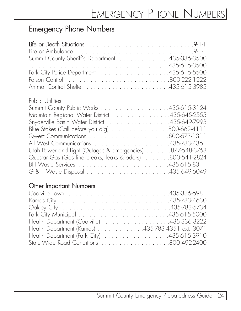### Emergency Phone Numbers

| Summit County Sheriff's Department 435-336-3500           |  |
|-----------------------------------------------------------|--|
|                                                           |  |
|                                                           |  |
|                                                           |  |
|                                                           |  |
| <b>Public Utilities</b>                                   |  |
|                                                           |  |
| Mountain Regional Water District 435-645-2555             |  |
| Snyderville Basin Water District 435-649-7993             |  |
| Blue Stakes (Call before you dig) 800-662-4111            |  |
|                                                           |  |
|                                                           |  |
| Utah Power and Light (Outages & emergencies) 877-548-3768 |  |
| Questar Gas (Gas line breaks, leaks & odors) 800-541-2824 |  |
|                                                           |  |
|                                                           |  |

### Other Important Numbers

| Health Department (Kamas) 435-783-4351 ext. 3071 |  |
|--------------------------------------------------|--|
|                                                  |  |
|                                                  |  |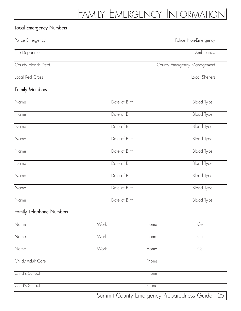## FAMILY EMERGENCY INFORMATION

### Local Emergency Numbers

| Police Emergency                |               |       | Police Non-Emergency        |
|---------------------------------|---------------|-------|-----------------------------|
| Fire Department                 |               |       | Ambulance                   |
| County Health Dept.             |               |       | County Emergency Management |
| Local Red Cross                 |               |       | Local Shelters              |
| <b>Family Members</b>           |               |       |                             |
| Name                            | Date of Birth |       | <b>Blood Type</b>           |
| Name                            | Date of Birth |       | <b>Blood</b> Type           |
| Name                            | Date of Birth |       | <b>Blood Type</b>           |
| Name                            | Date of Birth |       | <b>Blood Type</b>           |
| Name                            | Date of Birth |       | <b>Blood Type</b>           |
| Name                            | Date of Birth |       | <b>Blood</b> Type           |
| Name                            | Date of Birth |       | <b>Blood Type</b>           |
| Name                            | Date of Birth |       | Blood Type                  |
| Name                            | Date of Birth |       | <b>Blood</b> Type           |
| <b>Family Telephone Numbers</b> |               |       |                             |
| Name                            | Work          | Home  | Cell                        |
| Name                            | Work          | Home  | Cell                        |
| Name                            | Work          | Home  | Cell                        |
| Child/Adult Care                |               | Phone |                             |
| Child's School                  |               | Phone |                             |
| Child's School                  |               | Phone |                             |

Summit County Emergency Preparedness Guide - 25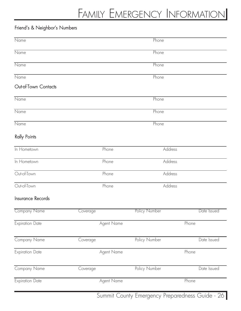### Friend's & Neighbor's Numbers

| <b>Expiration Date</b> | Agent Name        |                      | Phone       |
|------------------------|-------------------|----------------------|-------------|
| Company Name           | Coverage          | Policy Number        | Date Issued |
| <b>Expiration Date</b> | Agent Name        |                      | Phone       |
| Company Name           | Coverage          | Policy Number        | Date Issued |
| <b>Expiration Date</b> | <b>Agent Name</b> |                      | Phone       |
| Company Name           | Coverage          | <b>Policy Number</b> | Date Issued |
| Insurance Records      |                   |                      |             |
| Out-of-Town            | Phone             | Address              |             |
| Out-of-Town            | Phone             | Address              |             |
| In Hometown            | Phone             | Address              |             |
| In Hometown            | Phone             | Address              |             |
| Rally Points           |                   |                      |             |
| Name                   |                   | Phone                |             |
| Name                   |                   | Phone                |             |
| Name                   |                   | Phone                |             |
| Out-of-Town Contacts   |                   |                      |             |
| Name                   |                   | Phone                |             |
| Name                   |                   | Phone                |             |
| Name                   |                   | Phone                |             |
| Name                   |                   | Phone                |             |

Summit County Emergency Preparedness Guide - 26